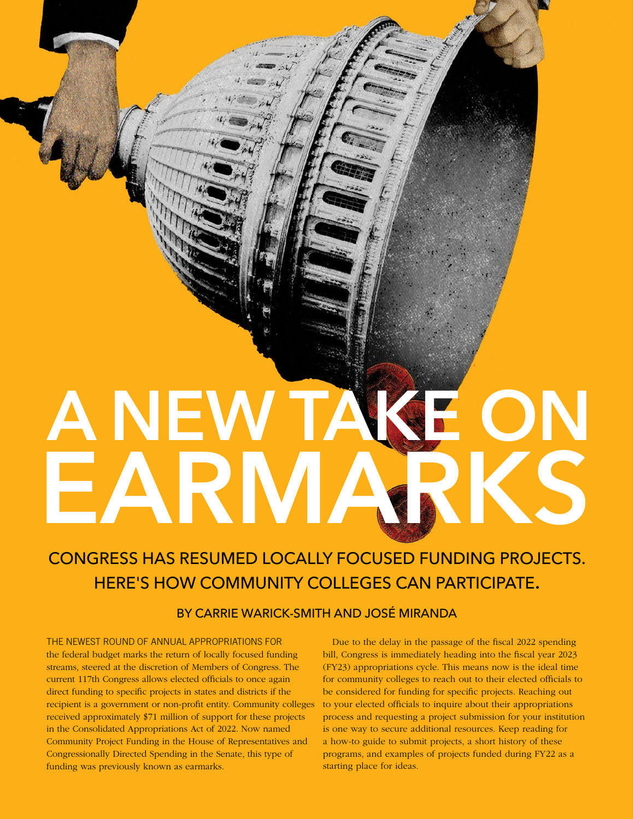# A NEW TAKE ON EARMARKS

# CONGRESS HAS RESUMED LOCALLY FOCUSED FUNDING PROJECTS. HERE'S HOW COMMUNITY COLLEGES CAN PARTICIPATE.

## BY CARRIE WARICK-SMITH AND JOSÉ MIRANDA

THE NEWEST ROUND OF ANNUAL APPROPRIATIONS FOR the federal budget marks the return of locally focused funding streams, steered at the discretion of Members of Congress. The current 117th Congress allows elected officials to once again direct funding to specific projects in states and districts if the recipient is a government or non-profit entity. Community colleges received approximately \$71 million of support for these projects in the Consolidated Appropriations Act of 2022. Now named Community Project Funding in the House of Representatives and Congressionally Directed Spending in the Senate, this type of funding was previously known as earmarks.

Due to the delay in the passage of the fiscal 2022 spending bill, Congress is immediately heading into the fiscal year 2023 (FY23) appropriations cycle. This means now is the ideal time for community colleges to reach out to their elected officials to be considered for funding for specific projects. Reaching out to your elected officials to inquire about their appropriations process and requesting a project submission for your institution is one way to secure additional resources. Keep reading for a how-to guide to submit projects, a short history of these programs, and examples of projects funded during FY22 as a starting place for ideas.